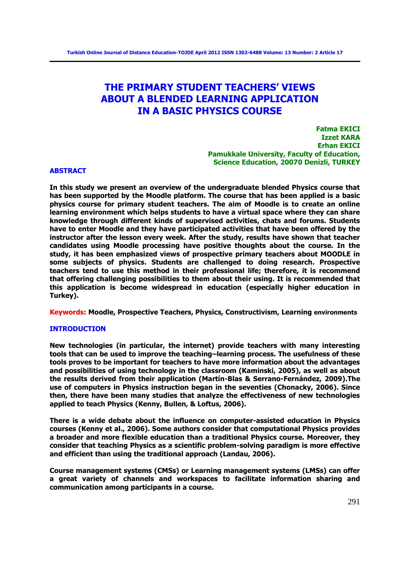# **THE PRIMARY STUDENT TEACHERS' VIEWS ABOUT A BLENDED LEARNING APPLICATION IN A BASIC PHYSICS COURSE**

**Fatma EKICI Izzet KARA Erhan EKICI Pamukkale University, Faculty of Education, Science Education, 20070 Denizli, TURKEY** 

# **ABSTRACT**

**In this study we present an overview of the undergraduate blended Physics course that has been supported by the Moodle platform. The course that has been applied is a basic physics course for primary student teachers. The aim of Moodle is to create an online learning environment which helps students to have a virtual space where they can share knowledge through different kinds of supervised activities, chats and forums. Students have to enter Moodle and they have participated activities that have been offered by the instructor after the lesson every week. After the study, results have shown that teacher candidates using Moodle processing have positive thoughts about the course. In the study, it has been emphasized views of prospective primary teachers about MOODLE in some subjects of physics. Students are challenged to doing research. Prospective teachers tend to use this method in their professional life; therefore, it is recommend that offering challenging possibilities to them about their using. It is recommended that this application is become widespread in education (especially higher education in Turkey).** 

**Keywords: Moodle, Prospective Teachers, Physics, Constructivism, Learning environments**

# **INTRODUCTION**

**New technologies (in particular, the internet) provide teachers with many interesting tools that can be used to improve the teaching–learning process. The usefulness of these tools proves to be important for teachers to have more information about the advantages and possibilities of using technology in the classroom (Kaminski, 2005), as well as about the results derived from their application (Martín-Blas & Serrano-Fernández, 2009).The use of computers in Physics instruction began in the seventies (Chonacky, 2006). Since then, there have been many studies that analyze the effectiveness of new technologies applied to teach Physics (Kenny, Bullen, & Loftus, 2006).** 

**There is a wide debate about the influence on computer-assisted education in Physics courses (Kenny et al., 2006). Some authors consider that computational Physics provides a broader and more flexible education than a traditional Physics course. Moreover, they consider that teaching Physics as a scientific problem-solving paradigm is more effective and efficient than using the traditional approach (Landau, 2006).** 

**Course management systems (CMSs) or Learning management systems (LMSs) can offer a great variety of channels and workspaces to facilitate information sharing and communication among participants in a course.**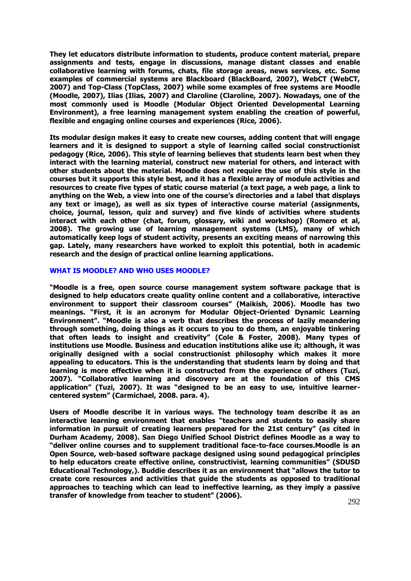**They let educators distribute information to students, produce content material, prepare assignments and tests, engage in discussions, manage distant classes and enable collaborative learning with forums, chats, file storage areas, news services, etc. Some examples of commercial systems are Blackboard (BlackBoard, 2007), WebCT (WebCT, 2007) and Top-Class (TopClass, 2007) while some examples of free systems are Moodle (Moodle, 2007), Ilias (Ilias, 2007) and Claroline (Claroline, 2007). Nowadays, one of the most commonly used is Moodle (Modular Object Oriented Developmental Learning Environment), a free learning management system enabling the creation of powerful, flexible and engaging online courses and experiences (Rice, 2006).** 

**Its modular design makes it easy to create new courses, adding content that will engage learners and it is designed to support a style of learning called social constructionist pedagogy (Rice, 2006). This style of learning believes that students learn best when they interact with the learning material, construct new material for others, and interact with other students about the material. Moodle does not require the use of this style in the courses but it supports this style best, and it has a flexible array of module activities and resources to create five types of static course material (a text page, a web page, a link to anything on the Web, a view into one of the course's directories and a label that displays any text or image), as well as six types of interactive course material (assignments, choice, journal, lesson, quiz and survey) and five kinds of activities where students interact with each other (chat, forum, glossary, wiki and workshop) (Romero et al, 2008). The growing use of learning management systems (LMS), many of which automatically keep logs of student activity, presents an exciting means of narrowing this gap. Lately, many researchers have worked to exploit this potential, both in academic research and the design of practical online learning applications.** 

# **WHAT IS MOODLE? AND WHO USES MOODLE?**

**"Moodle is a free, open source course management system software package that is designed to help educators create quality online content and a collaborative, interactive environment to support their classroom courses" (Maikish, 2006). Moodle has two meanings. "First, it is an acronym for Modular Object-Oriented Dynamic Learning Environment". "Moodle is also a verb that describes the process of lazily meandering through something, doing things as it occurs to you to do them, an enjoyable tinkering that often leads to insight and creativity" (Cole & Foster, 2008). Many types of institutions use Moodle. Business and education institutions alike use it; although, it was originally designed with a social constructionist philosophy which makes it more appealing to educators. This is the understanding that students learn by doing and that learning is more effective when it is constructed from the experience of others (Tuzi, 2007). "Collaborative learning and discovery are at the foundation of this CMS application" (Tuzi, 2007). It was "designed to be an easy to use, intuitive learnercentered system" (Carmichael, 2008. para. 4).**

**Users of Moodle describe it in various ways. The technology team describe it as an interactive learning environment that enables "teachers and students to easily share information in pursuit of creating learners prepared for the 21st century" (as cited in Durham Academy, 2008). San Diego Unified School District defines Moodle as a way to "deliver online courses and to supplement traditional face-to-face courses.Moodle is an Open Source, web-based software package designed using sound pedagogical principles to help educators create effective online, constructivist, learning communities" (SDUSD Educational Technology,). Buddie describes it as an environment that "allows the tutor to create core resources and activities that guide the students as opposed to traditional approaches to teaching which can lead to ineffective learning, as they imply a passive transfer of knowledge from teacher to student" (2006).**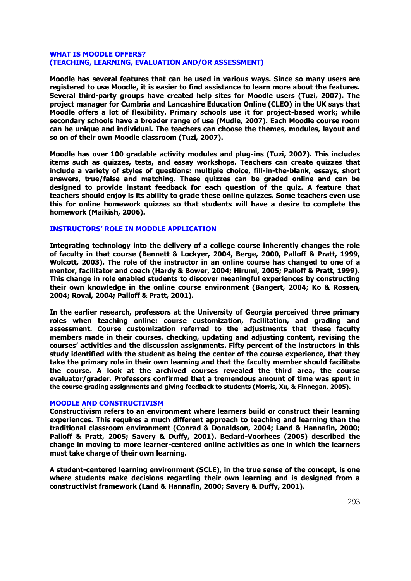# **WHAT IS MOODLE OFFERS? (TEACHING, LEARNING, EVALUATION AND/OR ASSESSMENT)**

**Moodle has several features that can be used in various ways. Since so many users are registered to use Moodle, it is easier to find assistance to learn more about the features. Several third-party groups have created help sites for Moodle users (Tuzi, 2007). The project manager for Cumbria and Lancashire Education Online (CLEO) in the UK says that Moodle offers a lot of flexibility. Primary schools use it for project-based work; while secondary schools have a broader range of use (Mudle, 2007). Each Moodle course room can be unique and individual. The teachers can choose the themes, modules, layout and so on of their own Moodle classroom (Tuzi, 2007).** 

**Moodle has over 100 gradable activity modules and plug-ins (Tuzi, 2007). This includes items such as quizzes, tests, and essay workshops. Teachers can create quizzes that include a variety of styles of questions: multiple choice, fill-in-the-blank, essays, short answers, true/false and matching. These quizzes can be graded online and can be designed to provide instant feedback for each question of the quiz. A feature that teachers should enjoy is its ability to grade these online quizzes. Some teachers even use this for online homework quizzes so that students will have a desire to complete the homework (Maikish, 2006).** 

# **INSTRUCTORS' ROLE IN MODDLE APPLICATION**

**Integrating technology into the delivery of a college course inherently changes the role of faculty in that course (Bennett & Lockyer, 2004, Berge, 2000, Palloff & Pratt, 1999, Wolcott, 2003). The role of the instructor in an online course has changed to one of a mentor, facilitator and coach (Hardy & Bower, 2004; Hirumi, 2005; Palloff & Pratt, 1999). This change in role enabled students to discover meaningful experiences by constructing their own knowledge in the online course environment (Bangert, 2004; Ko & Rossen, 2004; Rovai, 2004; Palloff & Pratt, 2001).** 

**In the earlier research, professors at the University of Georgia perceived three primary roles when teaching online: course customization, facilitation, and grading and assessment. Course customization referred to the adjustments that these faculty members made in their courses, checking, updating and adjusting content, revising the courses' activities and the discussion assignments. Fifty percent of the instructors in this study identified with the student as being the center of the course experience, that they take the primary role in their own learning and that the faculty member should facilitate the course. A look at the archived courses revealed the third area, the course evaluator/grader. Professors confirmed that a tremendous amount of time was spent in the course grading assignments and giving feedback to students (Morris, Xu, & Finnegan, 2005).**

# **MOODLE AND CONSTRUCTIVISM**

**Constructivism refers to an environment where learners build or construct their learning experiences. This requires a much different approach to teaching and learning than the traditional classroom environment (Conrad & Donaldson, 2004; Land & Hannafin, 2000; Palloff & Pratt, 2005; Savery & Duffy, 2001). Bedard-Voorhees (2005) described the change in moving to more learner-centered online activities as one in which the learners must take charge of their own learning.** 

**A student-centered learning environment (SCLE), in the true sense of the concept, is one where students make decisions regarding their own learning and is designed from a constructivist framework (Land & Hannafin, 2000; Savery & Duffy, 2001).**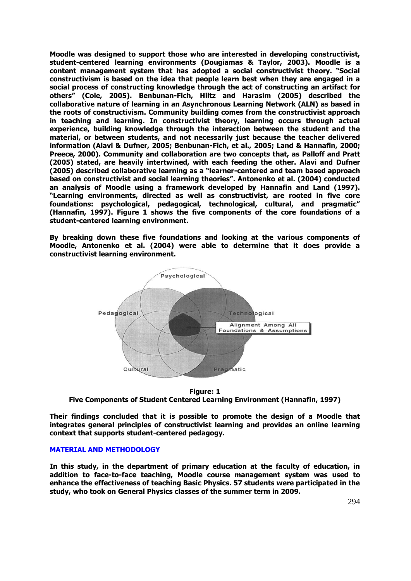**Moodle was designed to support those who are interested in developing constructivist, student-centered learning environments (Dougiamas & Taylor, 2003). Moodle is a content management system that has adopted a social constructivist theory. "Social constructivism is based on the idea that people learn best when they are engaged in a social process of constructing knowledge through the act of constructing an artifact for others" (Cole, 2005). Benbunan-Fich, Hiltz and Harasim (2005) described the collaborative nature of learning in an Asynchronous Learning Network (ALN) as based in the roots of constructivism. Community building comes from the constructivist approach in teaching and learning. In constructivist theory, learning occurs through actual experience, building knowledge through the interaction between the student and the material, or between students, and not necessarily just because the teacher delivered information (Alavi & Dufner, 2005; Benbunan-Fich, et al., 2005; Land & Hannafin, 2000; Preece, 2000). Community and collaboration are two concepts that, as Palloff and Pratt (2005) stated, are heavily intertwined, with each feeding the other. Alavi and Dufner (2005) described collaborative learning as a "learner-centered and team based approach based on constructivist and social learning theories". Antonenko et al. (2004) conducted an analysis of Moodle using a framework developed by Hannafin and Land (1997). "Learning environments, directed as well as constructivist, are rooted in five core foundations: psychological, pedagogical, technological, cultural, and pragmatic" (Hannafin, 1997). Figure 1 shows the five components of the core foundations of a student-centered learning environment.** 

**By breaking down these five foundations and looking at the various components of Moodle, Antonenko et al. (2004) were able to determine that it does provide a constructivist learning environment.** 



**Figure: 1 Five Components of Student Centered Learning Environment (Hannafin, 1997)** 

**Their findings concluded that it is possible to promote the design of a Moodle that integrates general principles of constructivist learning and provides an online learning context that supports student-centered pedagogy.** 

# **MATERIAL AND METHODOLOGY**

**In this study, in the department of primary education at the faculty of education, in addition to face-to-face teaching, Moodle course management system was used to enhance the effectiveness of teaching Basic Physics. 57 students were participated in the study, who took on General Physics classes of the summer term in 2009.**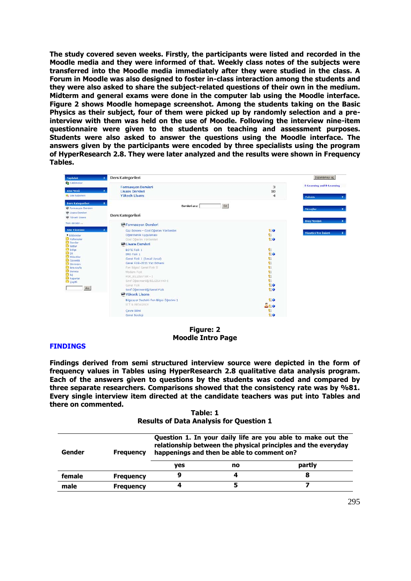**The study covered seven weeks. Firstly, the participants were listed and recorded in the Moodle media and they were informed of that. Weekly class notes of the subjects were transferred into the Moodle media immediately after they were studied in the class. A Forum in Moodle was also designed to foster in-class interaction among the students and they were also asked to share the subject-related questions of their own in the medium. Midterm and general exams were done in the computer lab using the Moodle interface. Figure 2 shows Moodle homepage screenshot. Among the students taking on the Basic Physics as their subject, four of them were picked up by randomly selection and a preinterview with them was held on the use of Moodle. Following the interview nine-item questionnaire were given to the students on teaching and assessment purposes. Students were also asked to answer the questions using the Moodle interface. The answers given by the participants were encoded by three specialists using the program of HyperResearch 2.8. They were later analyzed and the results were shown in Frequency Tables.**



**Figure: 2 Moodle Intro Page** 

# **FINDINGS**

**Findings derived from semi structured interview source were depicted in the form of frequency values in Tables using HyperResearch 2.8 qualitative data analysis program. Each of the answers given to questions by the students was coded and compared by three separate researchers. Comparisons showed that the consistency rate was by %81. Every single interview item directed at the candidate teachers was put into Tables and there on commented.** 

**Table: 1 Results of Data Analysis for Question 1** 

| Gender | <b>Frequency</b> | Question 1. In your daily life are you able to make out the<br>relationship between the physical principles and the everyday<br>happenings and then be able to comment on? |    |        |  |  |
|--------|------------------|----------------------------------------------------------------------------------------------------------------------------------------------------------------------------|----|--------|--|--|
|        |                  | yes                                                                                                                                                                        | no | partly |  |  |
| female | <b>Frequency</b> | 9                                                                                                                                                                          | 4  | 8      |  |  |
| male   | <b>Frequency</b> | 4                                                                                                                                                                          | 5  |        |  |  |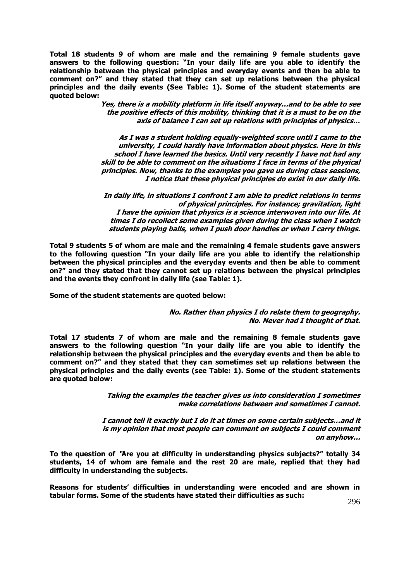**Total 18 students 9 of whom are male and the remaining 9 female students gave answers to the following question: "In your daily life are you able to identify the relationship between the physical principles and everyday events and then be able to comment on?" and they stated that they can set up relations between the physical principles and the daily events (See Table: 1). Some of the student statements are quoted below:** 

> **Yes, there is a mobility platform in life itself anyway…and to be able to see the positive effects of this mobility, thinking that it is a must to be on the axis of balance I can set up relations with principles of physics…**

> **As I was a student holding equally-weighted score until I came to the university, I could hardly have information about physics. Here in this school I have learned the basics. Until very recently I have not had any skill to be able to comment on the situations I face in terms of the physical principles. Now, thanks to the examples you gave us during class sessions, I notice that these physical principles do exist in our daily life.**

> **In daily life, in situations I confront I am able to predict relations in terms of physical principles. For instance; gravitation, light I have the opinion that physics is a science interwoven into our life. At times I do recollect some examples given during the class when I watch students playing balls, when I push door handles or when I carry things.**

**Total 9 students 5 of whom are male and the remaining 4 female students gave answers to the following question "In your daily life are you able to identify the relationship between the physical principles and the everyday events and then be able to comment on?" and they stated that they cannot set up relations between the physical principles and the events they confront in daily life (see Table: 1).** 

**Some of the student statements are quoted below:** 

**No. Rather than physics I do relate them to geography. No. Never had I thought of that.** 

**Total 17 students 7 of whom are male and the remaining 8 female students gave answers to the following question "In your daily life are you able to identify the relationship between the physical principles and the everyday events and then be able to comment on?" and they stated that they can sometimes set up relations between the physical principles and the daily events (see Table: 1). Some of the student statements are quoted below:** 

> **Taking the examples the teacher gives us into consideration I sometimes make correlations between and sometimes I cannot.**

**I cannot tell it exactly but I do it at times on some certain subjects…and it is my opinion that most people can comment on subjects I could comment on anyhow…**

**To the question of "Are you at difficulty in understanding physics subjects?" totally 34 students, 14 of whom are female and the rest 20 are male, replied that they had difficulty in understanding the subjects.** 

**Reasons for students' difficulties in understanding were encoded and are shown in tabular forms. Some of the students have stated their difficulties as such:**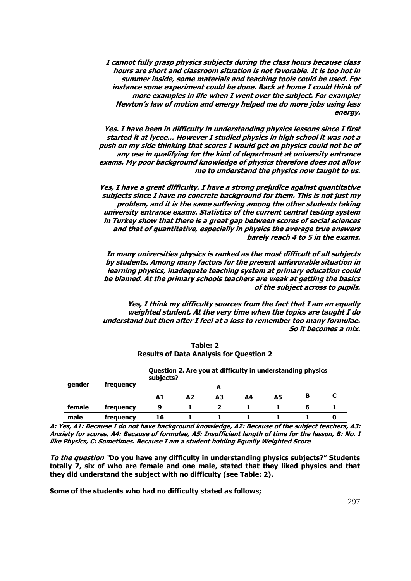**I cannot fully grasp physics subjects during the class hours because class hours are short and classroom situation is not favorable. It is too hot in summer inside, some materials and teaching tools could be used. For instance some experiment could be done. Back at home I could think of more examples in life when I went over the subject. For example; Newton's law of motion and energy helped me do more jobs using less energy.** 

**Yes. I have been in difficulty in understanding physics lessons since I first started it at lycee… However I studied physics in high school it was not a push on my side thinking that scores I would get on physics could not be of any use in qualifying for the kind of department at university entrance exams. My poor background knowledge of physics therefore does not allow me to understand the physics now taught to us.** 

**Yes, I have a great difficulty. I have a strong prejudice against quantitative subjects since I have no concrete background for them. This is not just my problem, and it is the same suffering among the other students taking university entrance exams. Statistics of the current central testing system in Turkey show that there is a great gap between scores of social sciences and that of quantitative, especially in physics the average true answers barely reach 4 to 5 in the exams.** 

**In many universities physics is ranked as the most difficult of all subjects by students. Among many factors for the present unfavorable situation in learning physics, inadequate teaching system at primary education could be blamed. At the primary schools teachers are weak at getting the basics of the subject across to pupils.** 

**Yes, I think my difficulty sources from the fact that I am an equally weighted student. At the very time when the topics are taught I do understand but then after I feel at a loss to remember too many formulae. So it becomes a mix.** 

|        |           | subjects? |                |    |    | Question 2. Are you at difficulty in understanding physics |   |  |
|--------|-----------|-----------|----------------|----|----|------------------------------------------------------------|---|--|
| gender | frequency |           |                | A  |    |                                                            |   |  |
|        |           | A1        | A <sub>2</sub> | A3 | А4 | A5                                                         | в |  |
| female | frequency | 9         |                |    |    |                                                            | 6 |  |
| male   | frequency | 16        |                |    |    |                                                            |   |  |

**Table: 2 Results of Data Analysis for Question 2** 

**A: Yes, A1: Because I do not have background knowledge, A2: Because of the subject teachers, A3: Anxiety for scores, A4: Because of formulae, A5: Insufficient length of time for the lesson, B: No. I like Physics, C: Sometimes. Because I am a student holding Equally Weighted Score** 

**To the question "Do you have any difficulty in understanding physics subjects?" Students totally 7, six of who are female and one male, stated that they liked physics and that they did understand the subject with no difficulty (see Table: 2).** 

**Some of the students who had no difficulty stated as follows;**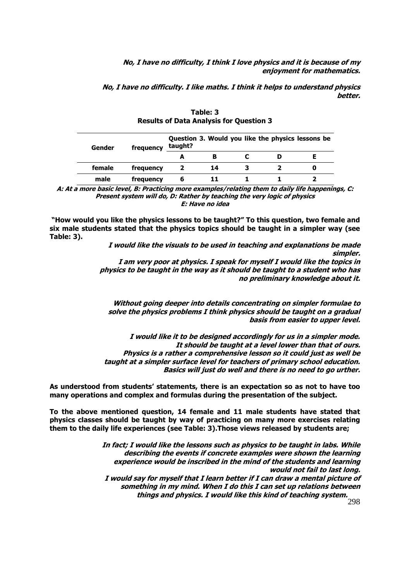**No, I have no difficulty, I think I love physics and it is because of my enjoyment for mathematics.** 

**No, I have no difficulty. I like maths. I think it helps to understand physics better.** 

| Gender | frequency | taught? |    |  | Question 3. Would you like the physics lessons be |
|--------|-----------|---------|----|--|---------------------------------------------------|
|        |           |         |    |  |                                                   |
| female | frequency |         | 14 |  |                                                   |
| male   | frequency |         |    |  |                                                   |

**Table: 3 Results of Data Analysis for Question 3** 

**A: At a more basic level, B: Practicing more examples/relating them to daily life happenings, C: Present system will do, D: Rather by teaching the very logic of physics E: Have no idea** 

**"How would you like the physics lessons to be taught?" To this question, two female and six male students stated that the physics topics should be taught in a simpler way (see Table: 3).** 

> **I would like the visuals to be used in teaching and explanations be made simpler.**

**I am very poor at physics. I speak for myself I would like the topics in physics to be taught in the way as it should be taught to a student who has no preliminary knowledge about it.** 

**Without going deeper into details concentrating on simpler formulae to solve the physics problems I think physics should be taught on a gradual basis from easier to upper level.** 

**I would like it to be designed accordingly for us in a simpler mode. It should be taught at a level lower than that of ours. Physics is a rather a comprehensive lesson so it could just as well be taught at a simpler surface level for teachers of primary school education. Basics will just do well and there is no need to go urther.** 

**As understood from students' statements, there is an expectation so as not to have too many operations and complex and formulas during the presentation of the subject.** 

**To the above mentioned question, 14 female and 11 male students have stated that physics classes should be taught by way of practicing on many more exercises relating them to the daily life experiences (see Table: 3).Those views released by students are;** 

> **In fact; I would like the lessons such as physics to be taught in labs. While describing the events if concrete examples were shown the learning experience would be inscribed in the mind of the students and learning would not fail to last long. I would say for myself that I learn better if I can draw a mental picture of something in my mind. When I do this I can set up relations between things and physics. I would like this kind of teaching system.**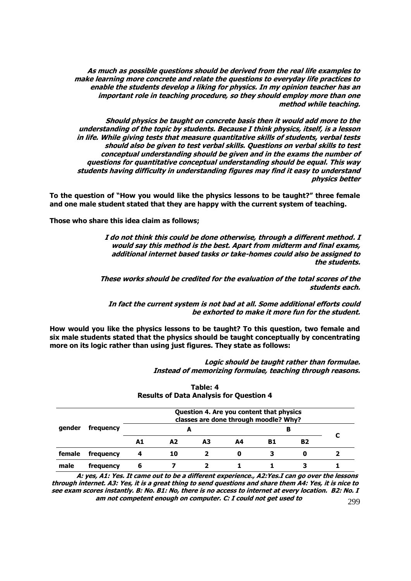**As much as possible questions should be derived from the real life examples to make learning more concrete and relate the questions to everyday life practices to enable the students develop a liking for physics. In my opinion teacher has an important role in teaching procedure, so they should employ more than one method while teaching.** 

**Should physics be taught on concrete basis then it would add more to the understanding of the topic by students. Because I think physics, itself, is a lesson in life. While giving tests that measure quantitative skills of students, verbal tests should also be given to test verbal skills. Questions on verbal skills to test conceptual understanding should be given and in the exams the number of questions for quantitative conceptual understanding should be equal. This way students having difficulty in understanding figures may find it easy to understand physics better** 

**To the question of "How you would like the physics lessons to be taught?" three female and one male student stated that they are happy with the current system of teaching.** 

**Those who share this idea claim as follows;** 

**I do not think this could be done otherwise, through a different method. I would say this method is the best. Apart from midterm and final exams, additional internet based tasks or take-homes could also be assigned to the students.** 

**These works should be credited for the evaluation of the total scores of the students each.** 

**In fact the current system is not bad at all. Some additional efforts could be exhorted to make it more fun for the student.** 

**How would you like the physics lessons to be taught? To this question, two female and six male students stated that the physics should be taught conceptually by concentrating more on its logic rather than using just figures. They state as follows:** 

> **Logic should be taught rather than formulae. Instead of memorizing formulae, teaching through reasons.**

| gender |           |    |    |    |    | Question 4. Are you content that physics<br>classes are done through moodle? Why? |    |  |
|--------|-----------|----|----|----|----|-----------------------------------------------------------------------------------|----|--|
|        | frequency |    | А  |    |    | в                                                                                 |    |  |
|        |           | A1 | A2 | А3 | Α4 | B1                                                                                | B2 |  |
| female | frequency |    | 10 |    |    |                                                                                   | O  |  |
| male   | frequency |    |    |    |    |                                                                                   |    |  |

# **Table: 4 Results of Data Analysis for Question 4**

299 **A: yes, A1: Yes. It came out to be a different experience., A2:Yes.I can go over the lessons through internet. A3: Yes, it is a great thing to send questions and share them A4: Yes, it is nice to see exam scores instantly. B: No. B1: No, there is no access to internet at every location. B2: No. I am not competent enough on computer. C: I could not get used to**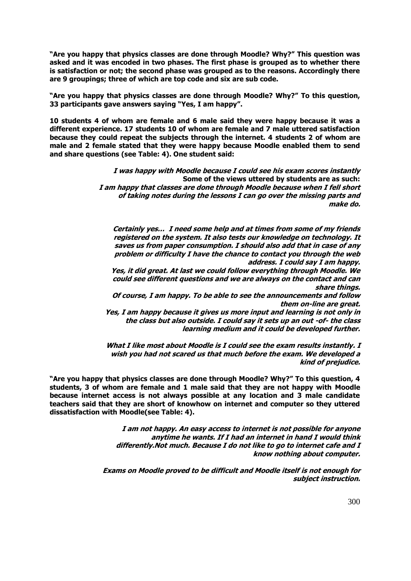**"Are you happy that physics classes are done through Moodle? Why?" This question was asked and it was encoded in two phases. The first phase is grouped as to whether there is satisfaction or not; the second phase was grouped as to the reasons. Accordingly there are 9 groupings; three of which are top code and six are sub code.** 

**"Are you happy that physics classes are done through Moodle? Why?" To this question, 33 participants gave answers saying "Yes, I am happy".** 

**10 students 4 of whom are female and 6 male said they were happy because it was a different experience. 17 students 10 of whom are female and 7 male uttered satisfaction because they could repeat the subjects through the internet. 4 students 2 of whom are male and 2 female stated that they were happy because Moodle enabled them to send and share questions (see Table: 4). One student said:** 

> **I was happy with Moodle because I could see his exam scores instantly Some of the views uttered by students are as such: I am happy that classes are done through Moodle because when I fell short of taking notes during the lessons I can go over the missing parts and make do.**

**Certainly yes… I need some help and at times from some of my friends registered on the system. It also tests our knowledge on technology. It saves us from paper consumption. I should also add that in case of any problem or difficulty I have the chance to contact you through the web address. I could say I am happy.** 

**Yes, it did great. At last we could follow everything through Moodle. We could see different questions and we are always on the contact and can share things.** 

**Of course, I am happy. To be able to see the announcements and follow them on-line are great.** 

**Yes, I am happy because it gives us more input and learning is not only in the class but also outside. I could say it sets up an out -of- the class learning medium and it could be developed further.** 

**What I like most about Moodle is I could see the exam results instantly. I wish you had not scared us that much before the exam. We developed a kind of prejudice.** 

**"Are you happy that physics classes are done through Moodle? Why?" To this question, 4 students, 3 of whom are female and 1 male said that they are not happy with Moodle because internet access is not always possible at any location and 3 male candidate teachers said that they are short of knowhow on internet and computer so they uttered dissatisfaction with Moodle(see Table: 4).** 

> **I am not happy. An easy access to internet is not possible for anyone anytime he wants. If I had an internet in hand I would think differently.Not much. Because I do not like to go to internet cafe and I know nothing about computer.**

**Exams on Moodle proved to be difficult and Moodle itself is not enough for subject instruction.**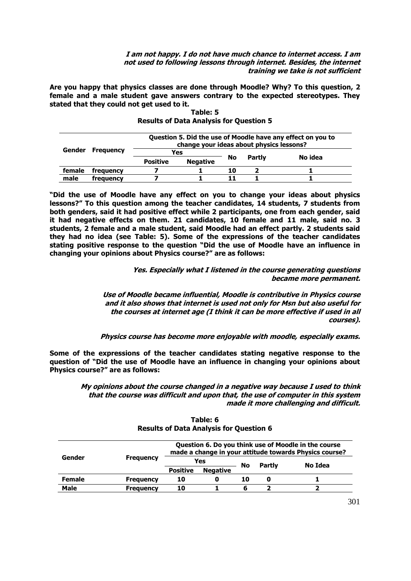**I am not happy. I do not have much chance to internet access. I am not used to following lessons through internet. Besides, the internet training we take is not sufficient** 

**Are you happy that physics classes are done through Moodle? Why? To this question, 2 female and a male student gave answers contrary to the expected stereotypes. They stated that they could not get used to it.** 

|        |                  |                 | Question 5. Did the use of Moodle have any effect on you to<br>change your ideas about physics lessons? |    |        |         |  |
|--------|------------------|-----------------|---------------------------------------------------------------------------------------------------------|----|--------|---------|--|
| Gender | <b>Frequency</b> | Yes             |                                                                                                         |    |        |         |  |
|        |                  | <b>Positive</b> | <b>Negative</b>                                                                                         | No | Partly | No idea |  |
| female | frequency        |                 |                                                                                                         | 10 |        |         |  |
| male   | frequency        |                 |                                                                                                         |    |        |         |  |

# **Table: 5 Results of Data Analysis for Question 5**

**"Did the use of Moodle have any effect on you to change your ideas about physics lessons?" To this question among the teacher candidates, 14 students, 7 students from both genders, said it had positive effect while 2 participants, one from each gender, said it had negative effects on them. 21 candidates, 10 female and 11 male, said no. 3 students, 2 female and a male student, said Moodle had an effect partly. 2 students said they had no idea (see Table: 5). Some of the expressions of the teacher candidates stating positive response to the question "Did the use of Moodle have an influence in changing your opinions about Physics course?" are as follows:** 

> **Yes. Especially what I listened in the course generating questions became more permanent.**

**Use of Moodle became influential, Moodle is contributive in Physics course and it also shows that internet is used not only for Msn but also useful for the courses at internet age (I think it can be more effective if used in all courses).** 

**Physics course has become more enjoyable with moodle, especially exams.** 

**Some of the expressions of the teacher candidates stating negative response to the question of "Did the use of Moodle have an influence in changing your opinions about Physics course?" are as follows:**

> **My opinions about the course changed in a negative way because I used to think that the course was difficult and upon that, the use of computer in this system made it more challenging and difficult.**

|               |                  |                 |                 |    |               | Question 6. Do you think use of Moodle in the course<br>made a change in your attitude towards Physics course? |
|---------------|------------------|-----------------|-----------------|----|---------------|----------------------------------------------------------------------------------------------------------------|
| Gender        | <b>Frequency</b> | Yes             |                 | No | <b>Partly</b> | No Idea                                                                                                        |
|               |                  | <b>Positive</b> | <b>Negative</b> |    |               |                                                                                                                |
| <b>Female</b> | <b>Frequency</b> | 10              | 0               | 10 | O             |                                                                                                                |
| <b>Male</b>   | <b>Frequency</b> | 10              |                 | 6  |               |                                                                                                                |

|  | Table: 6 |                                                |  |
|--|----------|------------------------------------------------|--|
|  |          | <b>Results of Data Analysis for Question 6</b> |  |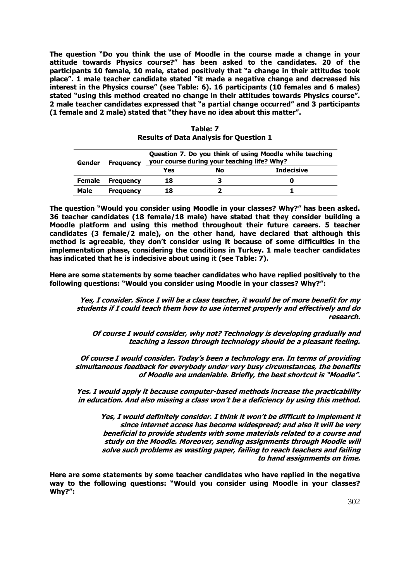**The question "Do you think the use of Moodle in the course made a change in your attitude towards Physics course?" has been asked to the candidates. 20 of the participants 10 female, 10 male, stated positively that "a change in their attitudes took place". 1 male teacher candidate stated "it made a negative change and decreased his interest in the Physics course" (see Table: 6). 16 participants (10 females and 6 males) stated "using this method created no change in their attitudes towards Physics course". 2 male teacher candidates expressed that "a partial change occurred" and 3 participants (1 female and 2 male) stated that "they have no idea about this matter".** 

| Gender        | <b>Frequency</b> | Question 7. Do you think of using Moodle while teaching<br>your course during your teaching life? Why? |    |                   |  |  |
|---------------|------------------|--------------------------------------------------------------------------------------------------------|----|-------------------|--|--|
|               |                  | Yes                                                                                                    | No | <b>Indecisive</b> |  |  |
| <b>Female</b> | <b>Frequency</b> | 18                                                                                                     |    |                   |  |  |
| Male          | <b>Frequency</b> | 18                                                                                                     |    |                   |  |  |

|                                                | Table: 7 |  |  |
|------------------------------------------------|----------|--|--|
| <b>Results of Data Analysis for Question 1</b> |          |  |  |

**The question "Would you consider using Moodle in your classes? Why?" has been asked. 36 teacher candidates (18 female/18 male) have stated that they consider building a Moodle platform and using this method throughout their future careers. 5 teacher candidates (3 female/2 male), on the other hand, have declared that although this method is agreeable, they don't consider using it because of some difficulties in the implementation phase, considering the conditions in Turkey. 1 male teacher candidates has indicated that he is indecisive about using it (see Table: 7).** 

**Here are some statements by some teacher candidates who have replied positively to the following questions: "Would you consider using Moodle in your classes? Why?":**

**Yes, I consider. Since I will be a class teacher, it would be of more benefit for my students if I could teach them how to use internet properly and effectively and do research.** 

**Of course I would consider, why not? Technology is developing gradually and teaching a lesson through technology should be a pleasant feeling.** 

**Of course I would consider. Today's been a technology era. In terms of providing simultaneous feedback for everybody under very busy circumstances, the benefits of Moodle are undeniable. Briefly, the best shortcut is "Moodle".**

**Yes. I would apply it because computer-based methods increase the practicability in education. And also missing a class won't be a deficiency by using this method.** 

**Yes, I would definitely consider. I think it won't be difficult to implement it since internet access has become widespread; and also it will be very beneficial to provide students with some materials related to a course and study on the Moodle. Moreover, sending assignments through Moodle will solve such problems as wasting paper, failing to reach teachers and failing to hand assignments on time.** 

**Here are some statements by some teacher candidates who have replied in the negative way to the following questions: "Would you consider using Moodle in your classes? Why?":**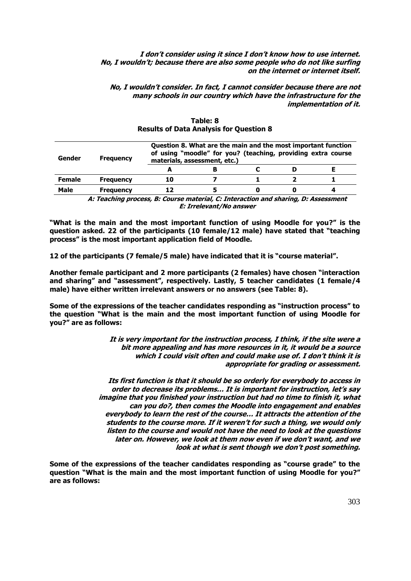# **I don't consider using it since I don't know how to use internet. No, I wouldn't; because there are also some people who do not like surfing on the internet or internet itself.**

**No, I wouldn't consider. In fact, I cannot consider because there are not many schools in our country which have the infrastructure for the implementation of it.** 

| Gender        | <b>Frequency</b> |    | Question 8. What are the main and the most important function<br>of using "moodle" for you? (teaching, providing extra course<br>materials, assessment, etc.) |  |  |
|---------------|------------------|----|---------------------------------------------------------------------------------------------------------------------------------------------------------------|--|--|
|               |                  |    |                                                                                                                                                               |  |  |
| <b>Female</b> | <b>Frequency</b> | 10 |                                                                                                                                                               |  |  |
| <b>Male</b>   | <b>Frequency</b> | 17 |                                                                                                                                                               |  |  |

# **Table: 8 Results of Data Analysis for Question 8**

**A: Teaching process, B: Course material, C: Interaction and sharing, D: Assessment E: Irrelevant/No answer** 

**"What is the main and the most important function of using Moodle for you?" is the question asked. 22 of the participants (10 female/12 male) have stated that "teaching process" is the most important application field of Moodle.** 

**12 of the participants (7 female/5 male) have indicated that it is "course material".** 

**Another female participant and 2 more participants (2 females) have chosen "interaction and sharing" and "assessment", respectively. Lastly, 5 teacher candidates (1 female/4 male) have either written irrelevant answers or no answers (see Table: 8).** 

**Some of the expressions of the teacher candidates responding as "instruction process" to the question "What is the main and the most important function of using Moodle for you?" are as follows:** 

> **It is very important for the instruction process, I think, if the site were a bit more appealing and has more resources in it, it would be a source which I could visit often and could make use of. I don't think it is appropriate for grading or assessment.**

**Its first function is that it should be so orderly for everybody to access in order to decrease its problems… It is important for instruction, let's say imagine that you finished your instruction but had no time to finish it, what can you do?, then comes the Moodle into engagement and enables everybody to learn the rest of the course… It attracts the attention of the students to the course more. If it weren't for such a thing, we would only listen to the course and would not have the need to look at the questions later on. However, we look at them now even if we don't want, and we look at what is sent though we don't post something.**

**Some of the expressions of the teacher candidates responding as "course grade" to the question "What is the main and the most important function of using Moodle for you?" are as follows:**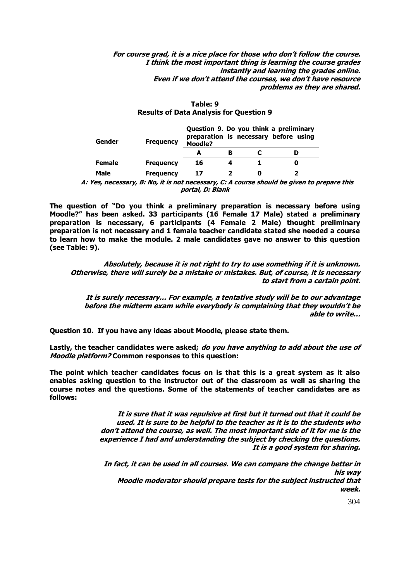**For course grad, it is a nice place for those who don't follow the course. I think the most important thing is learning the course grades instantly and learning the grades online. Even if we don't attend the courses, we don't have resource problems as they are shared.** 

| Gender | <b>Frequency</b> | <b>Moodle?</b> |  | Question 9. Do you think a preliminary<br>preparation is necessary before using |
|--------|------------------|----------------|--|---------------------------------------------------------------------------------|
|        |                  |                |  |                                                                                 |
| Female | <b>Frequency</b> | 16             |  |                                                                                 |
| Male   | <b>Frequency</b> | 17             |  |                                                                                 |

| Table: 9                                       |
|------------------------------------------------|
| <b>Results of Data Analysis for Question 9</b> |

**A: Yes, necessary, B: No, it is not necessary, C: A course should be given to prepare this portal, D: Blank** 

**The question of "Do you think a preliminary preparation is necessary before using Moodle?" has been asked. 33 participants (16 Female 17 Male) stated a preliminary preparation is necessary, 6 participants (4 Female 2 Male) thought preliminary preparation is not necessary and 1 female teacher candidate stated she needed a course to learn how to make the module. 2 male candidates gave no answer to this question (see Table: 9).** 

**Absolutely, because it is not right to try to use something if it is unknown. Otherwise, there will surely be a mistake or mistakes. But, of course, it is necessary to start from a certain point.** 

**It is surely necessary… For example, a tentative study will be to our advantage before the midterm exam while everybody is complaining that they wouldn't be able to write…** 

**Question 10. If you have any ideas about Moodle, please state them.** 

**Lastly, the teacher candidates were asked; do you have anything to add about the use of Moodle platform? Common responses to this question:** 

**The point which teacher candidates focus on is that this is a great system as it also enables asking question to the instructor out of the classroom as well as sharing the course notes and the questions. Some of the statements of teacher candidates are as follows:** 

> **It is sure that it was repulsive at first but it turned out that it could be used. It is sure to be helpful to the teacher as it is to the students who don't attend the course, as well. The most important side of it for me is the experience I had and understanding the subject by checking the questions. It is a good system for sharing.**

**In fact, it can be used in all courses. We can compare the change better in his way Moodle moderator should prepare tests for the subject instructed that week.**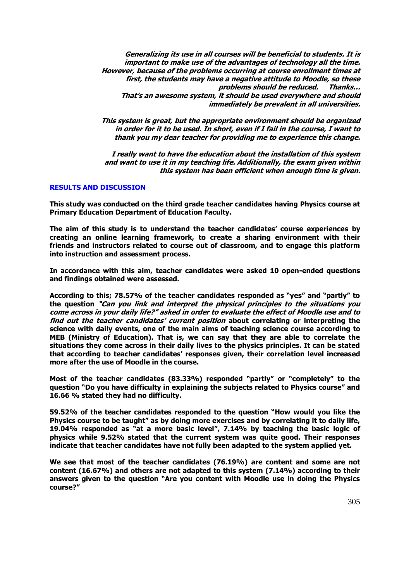**Generalizing its use in all courses will be beneficial to students. It is important to make use of the advantages of technology all the time. However, because of the problems occurring at course enrollment times at first, the students may have a negative attitude to Moodle, so these problems should be reduced. Thanks… That's an awesome system, it should be used everywhere and should immediately be prevalent in all universities.** 

**This system is great, but the appropriate environment should be organized in order for it to be used. In short, even if I fail in the course, I want to thank you my dear teacher for providing me to experience this change.** 

**I really want to have the education about the installation of this system and want to use it in my teaching life. Additionally, the exam given within this system has been efficient when enough time is given.** 

# **RESULTS AND DISCUSSION**

**This study was conducted on the third grade teacher candidates having Physics course at Primary Education Department of Education Faculty.** 

**The aim of this study is to understand the teacher candidates' course experiences by creating an online learning framework, to create a sharing environment with their friends and instructors related to course out of classroom, and to engage this platform into instruction and assessment process.** 

**In accordance with this aim, teacher candidates were asked 10 open-ended questions and findings obtained were assessed.** 

**According to this; 78.57% of the teacher candidates responded as "yes" and "partly" to the question "Can you link and interpret the physical principles to the situations you come across in your daily life?" asked in order to evaluate the effect of Moodle use and to find out the teacher candidates' current position about correlating or interpreting the science with daily events, one of the main aims of teaching science course according to MEB (Ministry of Education). That is, we can say that they are able to correlate the situations they come across in their daily lives to the physics principles. It can be stated that according to teacher candidates' responses given, their correlation level increased more after the use of Moodle in the course.** 

**Most of the teacher candidates (83.33%) responded "partly" or "completely" to the question "Do you have difficulty in explaining the subjects related to Physics course" and 16.66 % stated they had no difficulty.** 

**59.52% of the teacher candidates responded to the question "How would you like the Physics course to be taught" as by doing more exercises and by correlating it to daily life, 19.04% responded as "at a more basic level", 7.14% by teaching the basic logic of physics while 9.52% stated that the current system was quite good. Their responses indicate that teacher candidates have not fully been adapted to the system applied yet.** 

**We see that most of the teacher candidates (76.19%) are content and some are not content (16.67%) and others are not adapted to this system (7.14%) according to their answers given to the question "Are you content with Moodle use in doing the Physics course?"**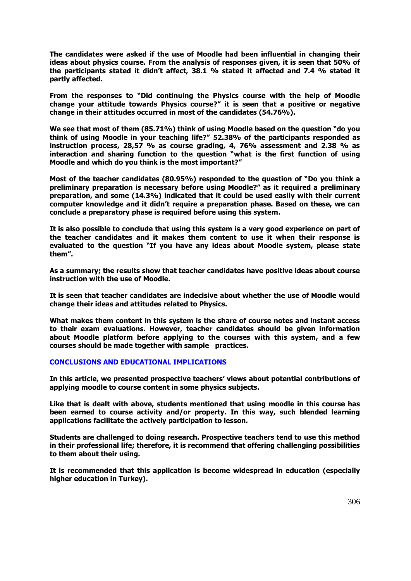**The candidates were asked if the use of Moodle had been influential in changing their ideas about physics course. From the analysis of responses given, it is seen that 50% of the participants stated it didn't affect, 38.1 % stated it affected and 7.4 % stated it partly affected.** 

**From the responses to "Did continuing the Physics course with the help of Moodle change your attitude towards Physics course?" it is seen that a positive or negative change in their attitudes occurred in most of the candidates (54.76%).** 

**We see that most of them (85.71%) think of using Moodle based on the question "do you think of using Moodle in your teaching life?" 52.38% of the participants responded as instruction process, 28,57 % as course grading, 4, 76% assessment and 2.38 % as interaction and sharing function to the question "what is the first function of using Moodle and which do you think is the most important?"**

**Most of the teacher candidates (80.95%) responded to the question of "Do you think a preliminary preparation is necessary before using Moodle?" as it required a preliminary preparation, and some (14.3%) indicated that it could be used easily with their current computer knowledge and it didn't require a preparation phase. Based on these, we can conclude a preparatory phase is required before using this system.** 

**It is also possible to conclude that using this system is a very good experience on part of the teacher candidates and it makes them content to use it when their response is evaluated to the question "If you have any ideas about Moodle system, please state them".** 

**As a summary; the results show that teacher candidates have positive ideas about course instruction with the use of Moodle.** 

**It is seen that teacher candidates are indecisive about whether the use of Moodle would change their ideas and attitudes related to Physics.** 

**What makes them content in this system is the share of course notes and instant access to their exam evaluations. However, teacher candidates should be given information about Moodle platform before applying to the courses with this system, and a few courses should be made together with sample practices.** 

# **CONCLUSIONS AND EDUCATIONAL IMPLICATIONS**

**In this article, we presented prospective teachers' views about potential contributions of applying moodle to course content in some physics subjects.** 

**Like that is dealt with above, students mentioned that using moodle in this course has been earned to course activity and/or property. In this way, such blended learning applications facilitate the actively participation to lesson.** 

**Students are challenged to doing research. Prospective teachers tend to use this method in their professional life; therefore, it is recommend that offering challenging possibilities to them about their using.** 

**It is recommended that this application is become widespread in education (especially higher education in Turkey).**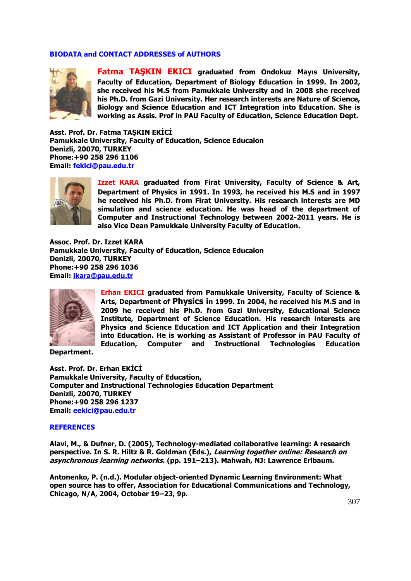# **BIODATA and CONTACT ADDRESSES of AUTHORS**



**Fatma TAŞKIN EKICI graduated from Ondokuz Mayıs University, Faculty of Education, Department of Biology Education in 1999. In 2002, she received his M.S from Pamukkale University and in 2008 she received his Ph.D. from Gazi University. Her research interests are Nature of Science, Biology and Science Education and ICT Integration into Education. She is working as Assis. Prof in PAU Faculty of Education, Science Education Dept.** 

**Asst. Prof. Dr. Fatma TAŞKIN EKİCİ Pamukkale University, Faculty of Education, Science Educaion Denizli, 20070, TURKEY Phone:+90 258 296 1106 Email: [fekici@pau.edu.tr](mailto:fekici@pau.edu.tr)** *23H*



**Izzet KARA graduated from Firat University, Faculty of Science & Art, Department of Physics in 1991. In 1993, he received his M.S and in 1997 he received his Ph.D. from Firat University. His research interests are MD simulation and science education. He was head of the department of Computer and Instructional Technology between 2002-2011 years. He is also Vice Dean Pamukkale University Faculty of Education.** 

**Assoc. Prof. Dr. Izzet KARA Pamukkale University, Faculty of Education, Science Educaion Denizli, 20070, TURKEY Phone:+90 258 296 1036 Email: [ikara@pau.edu.tr](mailto:ikara@pau.edu.tr)** *24H*



**Erhan EKICI graduated from Pamukkale University, Faculty of Science & Arts, Department of Physics in 1999. In 2004, he received his M.S and in 2009 he received his Ph.D. from Gazi University, Educational Science Institute, Department of Science Education. His research interests are Physics and Science Education and ICT Application and their Integration into Education. He is working as Assistant of Professor in PAU Faculty of Education, Computer and Instructional Technologies Education** 

**Department.** 

**Asst. Prof. Dr. Erhan EKİCİ Pamukkale University, Faculty of Education, Computer and Instructional Technologies Education Department Denizli, 20070, TURKEY Phone:+90 258 296 1237 Email: [eekici@pau.edu.tr](mailto:eekici@pau.edu.tr)** *25H*

#### **REFERENCES**

**Alavi, M., & Dufner, D. (2005), Technology-mediated collaborative learning: A research perspective. In S. R. Hiltz & R. Goldman (Eds.), Learning together online: Research on asynchronous learning networks. (pp. 191–213). Mahwah, NJ: Lawrence Erlbaum.** 

**Antonenko, P. (n.d.). Modular object-oriented Dynamic Learning Environment: What open source has to offer, Association for Educational Communications and Technology, Chicago, N/A, 2004, October 19–23, 9p.**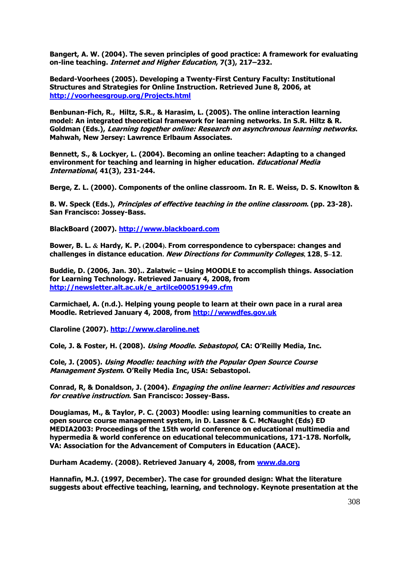**Bangert, A. W. (2004). The seven principles of good practice: A framework for evaluating on-line teaching. Internet and Higher Education, 7(3), 217–232.**

**Bedard-Voorhees (2005). Developing a Twenty-First Century Faculty: Institutional Structures and Strategies for Online Instruction. Retrieved June 8, 2006, at**  *26H***<http://voorheesgroup.org/Projects.html>**

**Benbunan-Fich, R., Hiltz, S.R., & Harasim, L. (2005). The online interaction learning model: An integrated theoretical framework for learning networks. In S.R. Hiltz & R. Goldman (Eds.), Learning together online: Research on asynchronous learning networks. Mahwah, New Jersey: Lawrence Erlbaum Associates.** 

**Bennett, S., & Lockyer, L. (2004). Becoming an online teacher: Adapting to a changed environment for teaching and learning in higher education. Educational Media International, 41(3), 231-244.**

**Berge, Z. L. (2000). Components of the online classroom. In R. E. Weiss, D. S. Knowlton &** 

**B. W. Speck (Eds.), Principles of effective teaching in the online classroom. (pp. 23-28). San Francisco: Jossey-Bass.** 

BlackBoard (2007). [http://www.blackboard.com](http://www.blackboard.com/)

**Bower, B. L. & Hardy, K. P. (2004). From correspondence to cyberspace: changes and challenges in distance education. New Directions for Community Colleges, 128, 5–12.** 

**Buddie, D. (2006, Jan. 30).. Zalatwic – Using MOODLE to accomplish things. Association for Learning Technology. Retrieved January 4, 2008, from**  *28H***[http://newsletter.alt.ac.uk/e\\_artilce000519949.cfm](http://newsletter.alt.ac.uk/e_artilce000519949.cfm)**

**Carmichael, A. (n.d.). Helping young people to learn at their own pace in a rural area Moodle. Retrieved January 4, 2008, from [http://wwwdfes.gov.uk](http://wwwdfes.gov.uk/)** 

**Claroline (2007).** *230H***[http://www.claroline.net](http://www.claroline.net/)**

**Cole, J. & Foster, H. (2008). Using Moodle. Sebastopol, CA: O'Reilly Media, Inc.**

**Cole, J. (2005). Using Moodle: teaching with the Popular Open Source Course Management System. O'Reily Media Inc, USA: Sebastopol.** 

**Conrad, R, & Donaldson, J. (2004). Engaging the online learner: Activities and resources for creative instruction. San Francisco: Jossey-Bass.** 

**Dougiamas, M., & Taylor, P. C. (2003) Moodle: using learning communities to create an open source course management system, in D. Lassner & C. McNaught (Eds) ED MEDIA2003: Proceedings of the 15th world conference on educational multimedia and hypermedia & world conference on educational telecommunications, 171-178. Norfolk, VA: Association for the Advancement of Computers in Education (AACE).** 

**Durham Academy. (2008). Retrieved January 4, 2008, from <b>[www.da.org](http://www.da.org/)** 

**Hannafin, M.J. (1997, December). The case for grounded design: What the literature suggests about effective teaching, learning, and technology. Keynote presentation at the**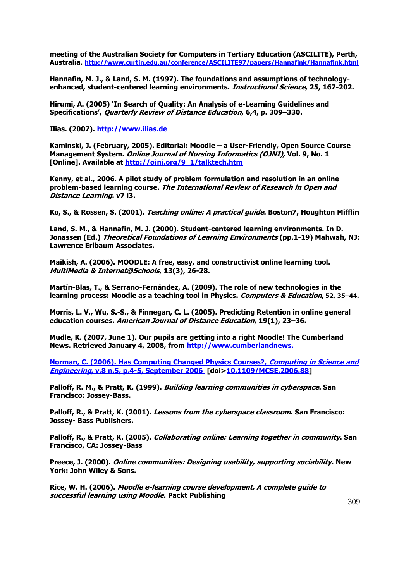**meeting of the Australian Society for Computers in Tertiary Education (ASCILITE), Perth, Australia.** *23H***<http://www.curtin.edu.au/conference/ASCILITE97/papers/Hannafink/Hannafink.html>**

**Hannafin, M. J., & Land, S. M. (1997). The foundations and assumptions of technologyenhanced, student-centered learning environments. Instructional Science, 25, 167-202.**

**Hirumi, A. (2005) 'In Search of Quality: An Analysis of e-Learning Guidelines and Specifications', Quarterly Review of Distance Education, 6,4, p. 309–330.** 

**Ilias. (2007).** *23H***[http://www.ilias.de](http://www.ilias.de/)**

**Kaminski, J. (February, 2005). Editorial: Moodle – a User-Friendly, Open Source Course Management System. Online Journal of Nursing Informatics (OJNI), Vol. 9, No. 1 [Online]. Available at** *234H***[http://ojni.org/9\\_1/talktech.htm](http://ojni.org/9_1/talktech.htm)**

**Kenny, et al., 2006. A pilot study of problem formulation and resolution in an online problem-based learning course. The International Review of Research in Open and Distance Learning. v7 i3.** 

**Ko, S., & Rossen, S. (2001). Teaching online: A practical guide. Boston7, Houghton Mifflin** 

**Land, S. M., & Hannafin, M. J. (2000). Student-centered learning environments. In D. Jonassen (Ed.) Theoretical Foundations of Learning Environments (pp.1-19) Mahwah, NJ: Lawrence Erlbaum Associates.** 

**Maikish, A. (2006). MOODLE: A free, easy, and constructivist online learning tool. MultiMedia & Internet@Schools, 13(3), 26-28.**

**Martín-Blas, T., & Serrano-Fernández, A. (2009). The role of new technologies in the learning process: Moodle as a teaching tool in Physics. Computers & Education, 52, 35–44.**

**Morris, L. V., Wu, S.-S., & Finnegan, C. L. (2005). Predicting Retention in online general education courses. American Journal of Distance Education, 19(1), 23–36.**

**Mudle, K. (2007, June 1). Our pupils are getting into a right Moodle! The Cumberland**  News. Retrieved January 4, 2008, from http://www.cumberlandnews.

*236H***[Norman, C. \(2006\). Has Computing Changed Physics Courses?,](http://portal.acm.org/citation.cfm?id=1158951&dl=GUIDE&coll=GUIDE&CFID=59021134&CFTOKEN=91649346) Computing in Science and Engineering[, v.8 n.5, p.4-5, September 2006](http://portal.acm.org/citation.cfm?id=1158951&dl=GUIDE&coll=GUIDE&CFID=59021134&CFTOKEN=91649346) [doi>***237H***[10.1109/MCSE.2006.88\]](http://dx.doi.org/10.1109/MCSE.2006.88)** 

**Palloff, R. M., & Pratt, K. (1999). Building learning communities in cyberspace. San Francisco: Jossey-Bass.**

**Palloff, R., & Pratt, K. (2001). Lessons from the cyberspace classroom. San Francisco: Jossey- Bass Publishers.** 

**Palloff, R., & Pratt, K. (2005). Collaborating online: Learning together in community. San Francisco, CA: Jossey-Bass** 

**Preece, J. (2000). Online communities: Designing usability, supporting sociability. New York: John Wiley & Sons.** 

**Rice, W. H. (2006). Moodle e-learning course development. A complete guide to successful learning using Moodle. Packt Publishing**